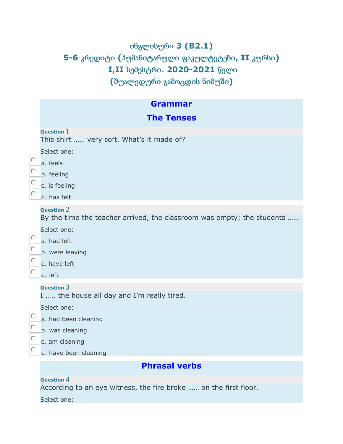# ინგლისური **3 (B2.1) 5-6** კრედიტი **(**ჰუმანიტარული ფაკულტეტები**, II** კურსი**) I,II** სემესტრი**. 2020-2021** წელი **(**შუალედური გამოცდის ნიმუში**)**

|              | <b>Grammar</b>                                                                              |  |  |  |
|--------------|---------------------------------------------------------------------------------------------|--|--|--|
|              | <b>The Tenses</b>                                                                           |  |  |  |
|              | Question $1$<br>This shirt  very soft. What's it made of?                                   |  |  |  |
| О            | Select one:                                                                                 |  |  |  |
| О            | a. feels<br>b. feeling                                                                      |  |  |  |
| O<br>О       | c. is feeling<br>d. has felt                                                                |  |  |  |
|              | <b>Question 2</b><br>By the time the teacher arrived, the classroom was empty; the students |  |  |  |
| $\circ$<br>О | Select one:<br>a. had left                                                                  |  |  |  |
| О<br>О       | b. were leaving<br>c. have left<br>d. left                                                  |  |  |  |
|              | <b>Question 3</b><br>I  the house all day and I'm really tired.                             |  |  |  |
| О            | Select one:<br>a. had been cleaning                                                         |  |  |  |
| О<br>О       | b. was cleaning<br>c. am cleaning                                                           |  |  |  |
| О            | d. have been cleaning                                                                       |  |  |  |
|              | <b>Phrasal verbs</b>                                                                        |  |  |  |

### **Question 4**

According to an eye witness, the fire broke …… on the first floor.

Select one: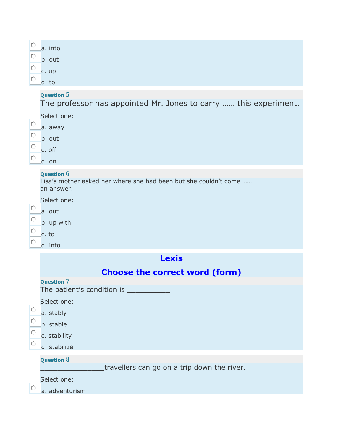| $\circ$<br>Ю<br>$\circ$<br>Ю | a. into<br>b. out<br>c. up<br>d. to                                                                                                                            |
|------------------------------|----------------------------------------------------------------------------------------------------------------------------------------------------------------|
| О<br>O<br>0<br>О             | Question 5<br>The professor has appointed Mr. Jones to carry  this experiment.<br>Select one:<br>a. away<br>b. out<br>c. off<br>d. on                          |
| O<br>Ю<br>O<br>Ю             | <b>Question 6</b><br>Lisa's mother asked her where she had been but she couldn't come<br>an answer.<br>Select one:<br>a. out<br>b. up with<br>c. to<br>d. into |
|                              | <b>Lexis</b><br><b>Choose the correct word (form)</b>                                                                                                          |
| O<br>$\circ$<br>$\circ$<br>О | <b>Question 7</b><br>The patient's condition is _____<br>Select one:<br>a. stably<br>b. stable<br>c. stability<br>d. stabilize                                 |
| Ю                            | <b>Question 8</b><br>travellers can go on a trip down the river.<br>Select one:<br>a. adventurism                                                              |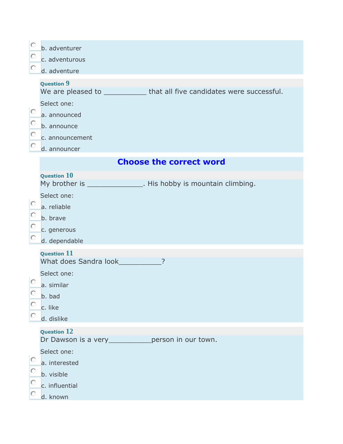| О      | b. adventurer                                                                                  |
|--------|------------------------------------------------------------------------------------------------|
| O      | c. adventurous                                                                                 |
| О      | d. adventure                                                                                   |
|        | <b>Question 9</b><br>We are pleased to _____________ that all five candidates were successful. |
|        | Select one:                                                                                    |
| О      | a. announced                                                                                   |
| O      | b. announce                                                                                    |
| О      | c. announcement                                                                                |
| О      | d. announcer                                                                                   |
|        | <b>Choose the correct word</b>                                                                 |
|        | <b>Question 10</b>                                                                             |
|        | My brother is ________________. His hobby is mountain climbing.                                |
|        | Select one:                                                                                    |
| O      | a. reliable                                                                                    |
| О      | b. brave                                                                                       |
| O      | c. generous                                                                                    |
| O      | d. dependable                                                                                  |
|        | <b>Question 11</b>                                                                             |
|        | What does Sandra look___________                                                               |
|        | Select one:                                                                                    |
|        | a. similar                                                                                     |
| U<br>O | b. bad                                                                                         |
| O      | c. like                                                                                        |
|        | d. dislike                                                                                     |
|        | <b>Question 12</b><br>Dr Dawson is a very _____________ person in our town.                    |
|        | Select one:                                                                                    |
| О      | a. interested                                                                                  |
| O      | b. visible                                                                                     |
| O      | c. influential                                                                                 |
| O      | d. known                                                                                       |
|        |                                                                                                |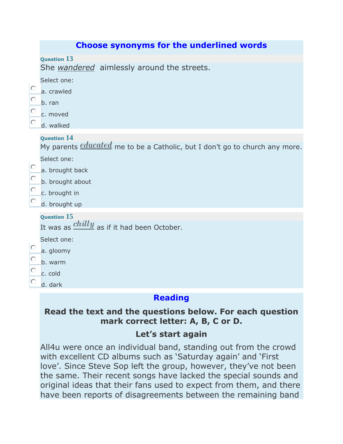|                   | <b>Choose synonyms for the underlined words</b>                                                                                                                                                  |
|-------------------|--------------------------------------------------------------------------------------------------------------------------------------------------------------------------------------------------|
|                   | <b>Question 13</b><br>She wandered aimlessly around the streets.                                                                                                                                 |
| О<br>O<br>O<br>О  | Select one:<br>a. crawled<br>b. ran<br>c. moved<br>d. walked                                                                                                                                     |
| 0.<br>O<br>O<br>О | <b>Question 14</b><br>My parents <i>educated</i> me to be a Catholic, but I don't go to church any more.<br>Select one:<br>a. brought back<br>b. brought about<br>c. brought in<br>d. brought up |
| О<br>O<br>О       | <b>Question 15</b><br>It was as $\frac{chilly}{}$ as if it had been October.<br>Select one:<br>a. gloomy<br>b. warm<br>c. cold<br>d. dark                                                        |
|                   |                                                                                                                                                                                                  |

### **Reading**

## **Read the text and the questions below. For each question mark correct letter: A, B, C or D.**

## **Let's start again**

All4u were once an individual band, standing out from the crowd with excellent CD albums such as 'Saturday again' and 'First love'. Since Steve Sop left the group, however, they've not been the same. Their recent songs have lacked the special sounds and original ideas that their fans used to expect from them, and there have been reports of disagreements between the remaining band